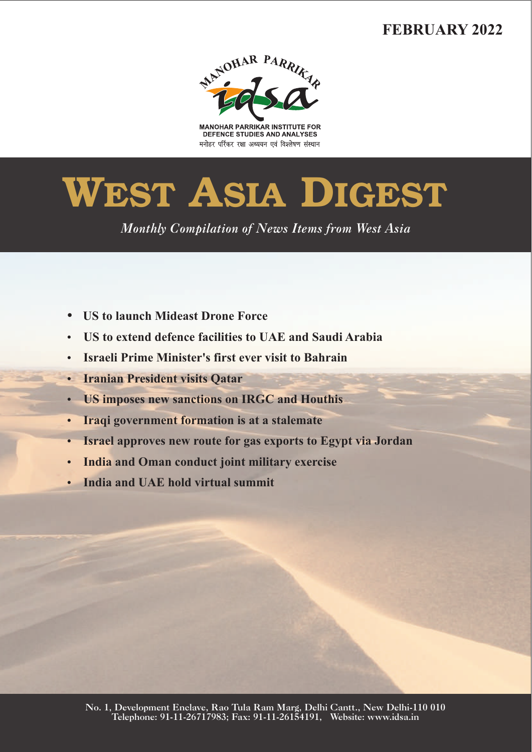# **FEBRUARY 2022**



**MANOHAR PARRIKAR INSTITUTE FOR** DEFENCE STUDIES AND ANALYSES मनोहर पर्रिकर रक्षा अध्ययन एवं विश्लेषण संस्थान

# **WEST ASIA DIGEST**

*Monthly Compilation of News Items from West Asia* 

- 
- US to launch Mideast Drone Force<br>• US to extend defence facilities to UAE and Saudi Arabia
- ?**US to extend defence facilities to UAE and Saudi Arabia** ?**Israeli Prime Minister's first ever visit to Bahrain**
- 
- ?**Iranian President visits Qatar**
- ?**US imposes new sanctions on IRGC and Houthis** ?**Iraqi government formation is at a stalemate**
- ?**Israel approves new route for gas exports to Egypt via Jordan**
- ?**India and Oman conduct joint military exercise**
- **India and UAE hold virtual summit**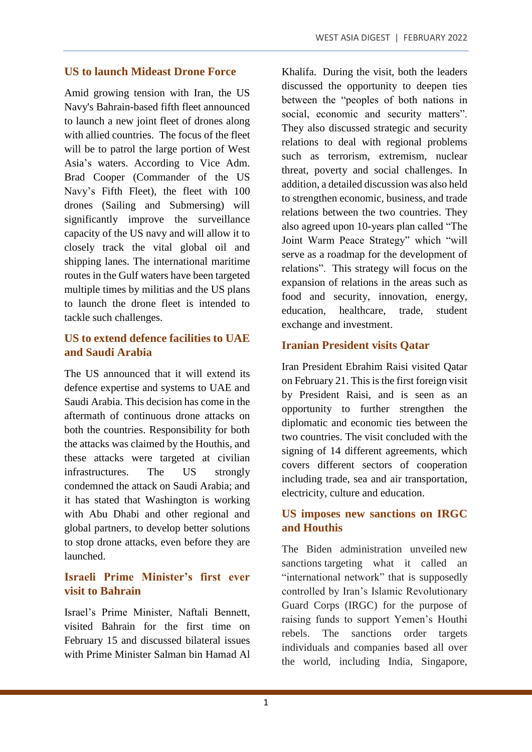#### **US to launch Mideast Drone Force**

Amid growing tension with Iran, the US Navy's Bahrain-based fifth fleet announced to launch a new joint fleet of drones along with allied countries. The focus of the fleet will be to patrol the large portion of West Asia's waters. According to Vice Adm. Brad Cooper (Commander of the US Navy's Fifth Fleet), the fleet with 100 drones (Sailing and Submersing) will significantly improve the surveillance capacity of the US navy and will allow it to closely track the vital global oil and shipping lanes. The international maritime routes in the Gulf waters have been targeted multiple times by militias and the US plans to launch the drone fleet is intended to tackle such challenges.

#### **US to extend defence facilities to UAE and Saudi Arabia**

The US announced that it will extend its defence expertise and systems to UAE and Saudi Arabia. This decision has come in the aftermath of continuous drone attacks on both the countries. Responsibility for both the attacks was claimed by the Houthis, and these attacks were targeted at civilian infrastructures. The US strongly condemned the attack on Saudi Arabia; and it has stated that Washington is working with Abu Dhabi and other regional and global partners, to develop better solutions to stop drone attacks, even before they are launched.

#### **Israeli Prime Minister's first ever visit to Bahrain**

Israel's Prime Minister, Naftali Bennett, visited Bahrain for the first time on February 15 and discussed bilateral issues with Prime Minister Salman bin Hamad Al

Khalifa. During the visit, both the leaders discussed the opportunity to deepen ties between the "peoples of both nations in social, economic and security matters". They also discussed strategic and security relations to deal with regional problems such as terrorism, extremism, nuclear threat, poverty and social challenges. In addition, a detailed discussion was also held to strengthen economic, business, and trade relations between the two countries. They also agreed upon 10-years plan called "The Joint Warm Peace Strategy" which "will serve as a roadmap for the development of relations". This strategy will focus on the expansion of relations in the areas such as food and security, innovation, energy, education, healthcare, trade, student exchange and investment.

# **Iranian President visits Qatar**

Iran President Ebrahim Raisi visited Qatar on February 21. This is the first foreign visit by President Raisi, and is seen as an opportunity to further strengthen the diplomatic and economic ties between the two countries. The visit concluded with the signing of 14 different agreements, which covers different sectors of cooperation including trade, sea and air transportation, electricity, culture and education.

#### **US imposes new sanctions on IRGC and Houthis**

The Biden administration unveiled new sanctions targeting what it called an "international network" that is supposedly controlled by Iran's Islamic Revolutionary Guard Corps (IRGC) for the purpose of raising funds to support Yemen's Houthi rebels. The sanctions order targets individuals and companies based all over the world, including India, Singapore,